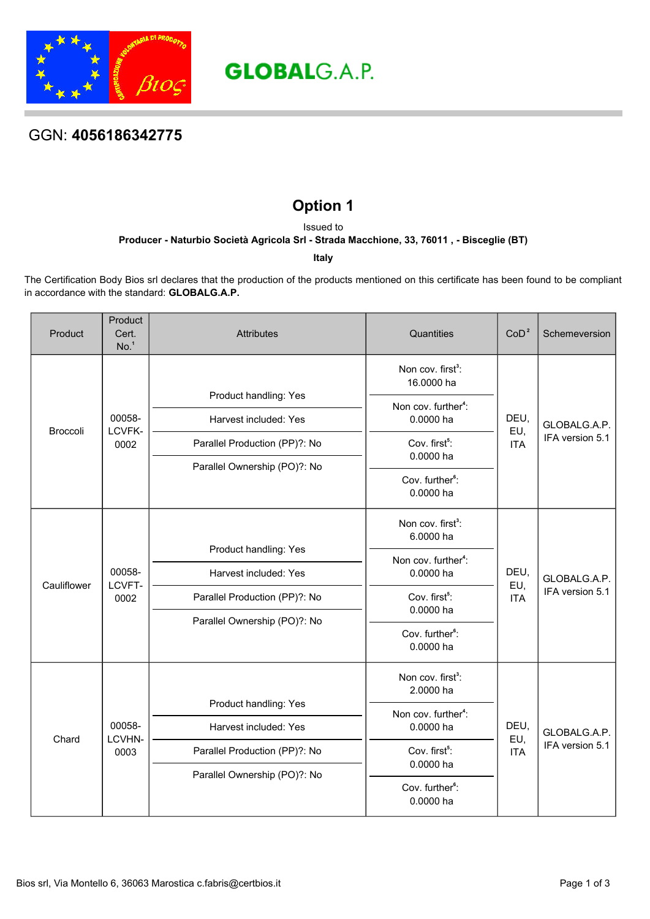

**GLOBALG.A.P.** 

GGN: **4056186342775**

## **Option 1**

Issued to **Producer - Naturbio Società Agricola Srl - Strada Macchione, 33, 76011 , - Bisceglie (BT)**

**Italy**

The Certification Body Bios srl declares that the production of the products mentioned on this certificate has been found to be compliant in accordance with the standard: **GLOBALG.A.P.**

| Product         | Product<br>Cert.<br>No. <sup>1</sup> | <b>Attributes</b>             | Quantities                                                                             | CoD <sup>2</sup>          | Schemeversion                   |
|-----------------|--------------------------------------|-------------------------------|----------------------------------------------------------------------------------------|---------------------------|---------------------------------|
| <b>Broccoli</b> | 00058-<br>LCVFK-<br>0002             |                               | Non cov. first <sup>3</sup> :<br>16.0000 ha                                            | DEU,<br>EU,<br><b>ITA</b> | GLOBALG.A.P.<br>IFA version 5.1 |
|                 |                                      | Product handling: Yes         | Non cov. further <sup>4</sup> :<br>0.0000 ha                                           |                           |                                 |
|                 |                                      | Harvest included: Yes         |                                                                                        |                           |                                 |
|                 |                                      | Parallel Production (PP)?: No | Cov. first <sup>5</sup> :<br>0.0000 ha                                                 |                           |                                 |
|                 |                                      | Parallel Ownership (PO)?: No  |                                                                                        |                           |                                 |
|                 |                                      |                               | Cov. further <sup>6</sup> :<br>0.0000 ha                                               |                           |                                 |
| Cauliflower     | 00058-<br>LCVFT-<br>0002             |                               | Non cov. first <sup>3</sup> :<br>6.0000 ha                                             | DEU,<br>EU,<br><b>ITA</b> | GLOBALG.A.P.<br>IFA version 5.1 |
|                 |                                      | Product handling: Yes         | Non cov. further <sup>4</sup> :<br>0.0000 ha<br>Cov. first <sup>5</sup> :<br>0.0000 ha |                           |                                 |
|                 |                                      | Harvest included: Yes         |                                                                                        |                           |                                 |
|                 |                                      | Parallel Production (PP)?: No |                                                                                        |                           |                                 |
|                 |                                      | Parallel Ownership (PO)?: No  |                                                                                        |                           |                                 |
|                 |                                      |                               | Cov. further <sup>6</sup> :<br>0.0000 ha                                               |                           |                                 |
| Chard           | 00058-<br>LCVHN-<br>0003             |                               | Non cov. first <sup>3</sup> :<br>2.0000 ha                                             | DEU,<br>EU,<br><b>ITA</b> | GLOBALG.A.P.<br>IFA version 5.1 |
|                 |                                      | Product handling: Yes         | Non cov. further <sup>4</sup> :                                                        |                           |                                 |
|                 |                                      | Harvest included: Yes         | 0.0000 ha                                                                              |                           |                                 |
|                 |                                      | Parallel Production (PP)?: No | Cov. first <sup>5</sup> :<br>0.0000 ha                                                 |                           |                                 |
|                 |                                      | Parallel Ownership (PO)?: No  | Cov. further <sup>6</sup> :<br>0.0000 ha                                               |                           |                                 |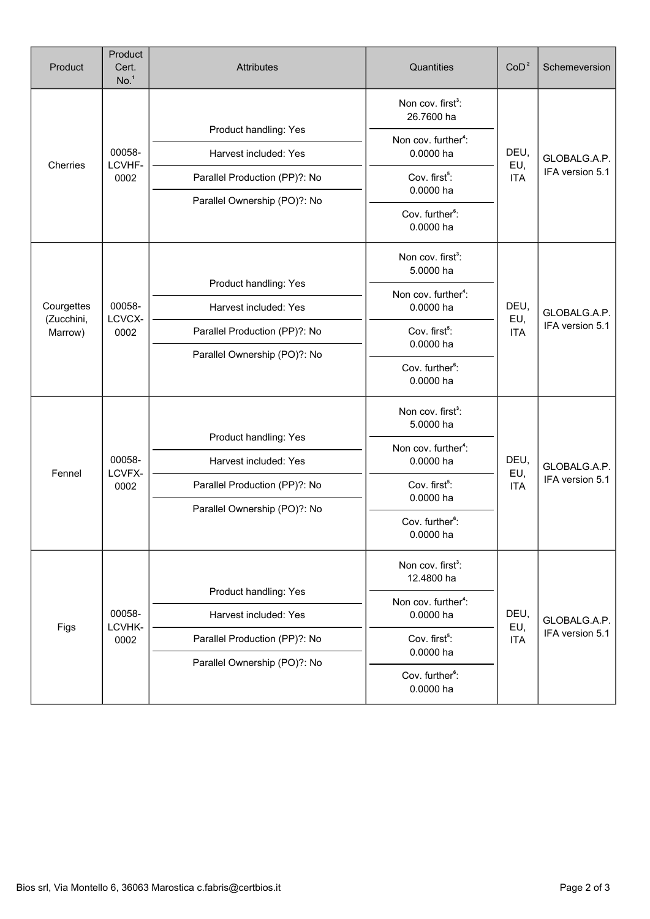| Product                             | Product<br>Cert.<br>No. <sup>1</sup> | <b>Attributes</b>                              | Quantities                                                                     | CoD <sup>2</sup>          | Schemeversion                   |
|-------------------------------------|--------------------------------------|------------------------------------------------|--------------------------------------------------------------------------------|---------------------------|---------------------------------|
| Cherries                            | 00058-<br>LCVHF-<br>0002             | Product handling: Yes                          | Non cov. first <sup>3</sup> :<br>26.7600 ha<br>Non cov. further <sup>4</sup> : | DEU,<br>EU,<br><b>ITA</b> | GLOBALG.A.P.<br>IFA version 5.1 |
|                                     |                                      | Harvest included: Yes                          | 0.0000 ha                                                                      |                           |                                 |
|                                     |                                      | Parallel Production (PP)?: No                  | Cov. first <sup>5</sup> :<br>0.0000 ha                                         |                           |                                 |
|                                     |                                      | Parallel Ownership (PO)?: No                   | Cov. further <sup>6</sup> :<br>0.0000 ha                                       |                           |                                 |
| Courgettes<br>(Zucchini,<br>Marrow) | 00058-<br>LCVCX-<br>0002             |                                                | Non cov. first <sup>3</sup> :<br>5.0000 ha                                     | DEU,<br>EU,<br><b>ITA</b> | GLOBALG.A.P.<br>IFA version 5.1 |
|                                     |                                      | Product handling: Yes                          | Non cov. further <sup>4</sup> :                                                |                           |                                 |
|                                     |                                      | Harvest included: Yes                          | 0.0000 ha                                                                      |                           |                                 |
|                                     |                                      | Parallel Production (PP)?: No                  | Cov. first <sup>5</sup> :<br>0.0000 ha                                         |                           |                                 |
|                                     |                                      | Parallel Ownership (PO)?: No                   | Cov. further <sup>6</sup> :<br>0.0000 ha                                       |                           |                                 |
| Fennel                              | 00058-<br>LCVFX-<br>0002             | Product handling: Yes                          | Non cov. first <sup>3</sup> :<br>5.0000 ha                                     | DEU,<br>EU,<br><b>ITA</b> | GLOBALG.A.P.<br>IFA version 5.1 |
|                                     |                                      | Harvest included: Yes                          | Non cov. further <sup>4</sup> :<br>0.0000 ha<br>Cov. first <sup>5</sup> :      |                           |                                 |
|                                     |                                      | Parallel Production (PP)?: No                  |                                                                                |                           |                                 |
|                                     |                                      | Parallel Ownership (PO)?: No                   | 0.0000 ha                                                                      |                           |                                 |
|                                     |                                      |                                                | Cov. further <sup>6</sup> :<br>0.0000 ha                                       |                           |                                 |
| Figs                                | 00058-<br>LCVHK-<br>0002             |                                                | Non cov. first <sup>3</sup> :<br>12.4800 ha                                    | DEU,<br>EU,<br><b>ITA</b> | GLOBALG.A.P.<br>IFA version 5.1 |
|                                     |                                      | Product handling: Yes<br>Harvest included: Yes | Non cov. further <sup>4</sup> :<br>0.0000 ha                                   |                           |                                 |
|                                     |                                      | Parallel Production (PP)?: No                  | Cov. first <sup>5</sup> :                                                      |                           |                                 |
|                                     |                                      |                                                | 0.0000 ha<br>Cov. further <sup>6</sup> :<br>0.0000 ha                          |                           |                                 |
|                                     |                                      | Parallel Ownership (PO)?: No                   |                                                                                |                           |                                 |